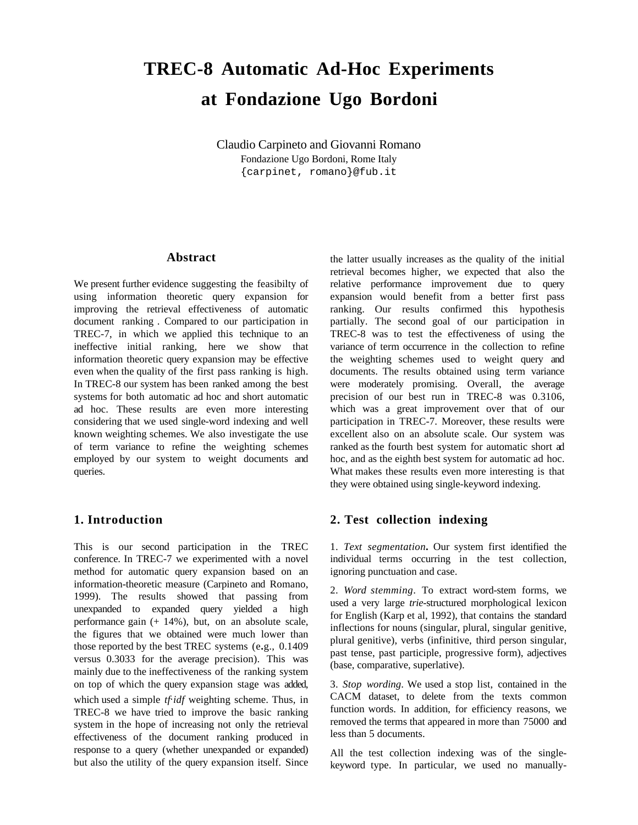# **TREC-8 Automatic Ad-Hoc Experiments at Fondazione Ugo Bordoni**

Claudio Carpineto and Giovanni Romano Fondazione Ugo Bordoni, Rome Italy {carpinet, romano}@fub.it

## **Abstract**

We present further evidence suggesting the feasibilty of using information theoretic query expansion for improving the retrieval effectiveness of automatic document ranking . Compared to our participation in TREC-7, in which we applied this technique to an ineffective initial ranking, here we show that information theoretic query expansion may be effective even when the quality of the first pass ranking is high. In TREC-8 our system has been ranked among the best systems for both automatic ad hoc and short automatic ad hoc. These results are even more interesting considering that we used single-word indexing and well known weighting schemes. We also investigate the use of term variance to refine the weighting schemes employed by our system to weight documents and queries.

## **1. Introduction**

This is our second participation in the TREC conference. In TREC-7 we experimented with a novel method for automatic query expansion based on an information-theoretic measure (Carpineto and Romano, 1999). The results showed that passing from unexpanded to expanded query yielded a high performance gain (+ 14%), but, on an absolute scale, the figures that we obtained were much lower than those reported by the best TREC systems (e**.**g., 0.1409 versus 0.3033 for the average precision). This was mainly due to the ineffectiveness of the ranking system on top of which the query expansion stage was added, which used a simple *tf idf* weighting scheme. Thus, in TREC-8 we have tried to improve the basic ranking system in the hope of increasing not only the retrieval effectiveness of the document ranking produced in response to a query (whether unexpanded or expanded) but also the utility of the query expansion itself. Since the latter usually increases as the quality of the initial retrieval becomes higher, we expected that also the relative performance improvement due to query expansion would benefit from a better first pass ranking. Our results confirmed this hypothesis partially. The second goal of our participation in TREC-8 was to test the effectiveness of using the variance of term occurrence in the collection to refine the weighting schemes used to weight query and documents. The results obtained using term variance were moderately promising. Overall, the average precision of our best run in TREC-8 was 0.3106, which was a great improvement over that of our participation in TREC-7. Moreover, these results were excellent also on an absolute scale. Our system was ranked as the fourth best system for automatic short ad hoc, and as the eighth best system for automatic ad hoc. What makes these results even more interesting is that they were obtained using single-keyword indexing.

## **2. Test collection indexing**

1. *Text segmentation***.** Our system first identified the individual terms occurring in the test collection, ignoring punctuation and case.

2. *Word stemming*. To extract word-stem forms, we used a very large *trie*-structured morphological lexicon for English (Karp et al, 1992), that contains the standard inflections for nouns (singular, plural, singular genitive, plural genitive), verbs (infinitive, third person singular, past tense, past participle, progressive form), adjectives (base, comparative, superlative).

3. *Stop wording*. We used a stop list, contained in the CACM dataset, to delete from the texts common function words. In addition, for efficiency reasons, we removed the terms that appeared in more than 75000 and less than 5 documents.

All the test collection indexing was of the singlekeyword type. In particular, we used no manually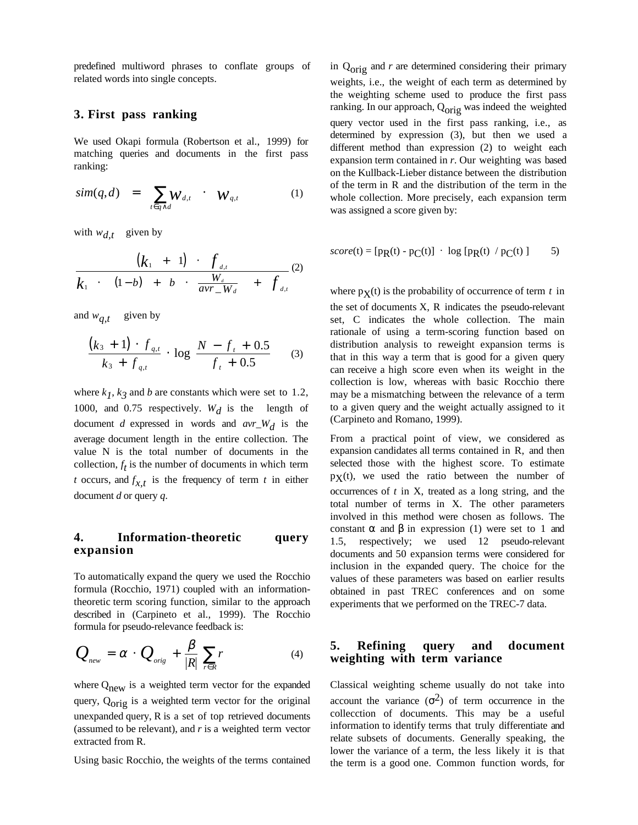predefined multiword phrases to conflate groups of related words into single concepts.

## **3. First pass ranking**

We used Okapi formula (Robertson et al., 1999) for matching queries and documents in the first pass ranking:

$$
sim(q,d) = \sum_{t \in q \wedge d} W_{d,t} \qquad W_{q,t} \qquad (1)
$$

with  $w_{d,t}$  given by

$$
\frac{(k_1 + 1) \cdot f_{d,t}}{k_1 \cdot \left[ (1-b) + b \cdot \frac{W_d}{avr_{-}W_d} \right] + f_{d,t}} \tag{2}
$$

and  $w_{q,t}$  given by

$$
\frac{(k_3+1)\cdot f_{q,t}}{k_3+f_{q,t}}\cdot \log \frac{N-f_t+0.5}{f_t+0.5}
$$
 (3)

where  $k_1$ ,  $k_3$  and *b* are constants which were set to 1.2, 1000, and 0.75 respectively.  $W_d$  is the length of document *d* expressed in words and  $avr_W/d$  is the average document length in the entire collection. The value N is the total number of documents in the collection,  $f_t$  is the number of documents in which term *t* occurs, and  $f_{x,t}$  is the frequency of term *t* in either document *d* or query *q*.

# **4. Information-theoretic query expansion**

To automatically expand the query we used the Rocchio formula (Rocchio, 1971) coupled with an informationtheoretic term scoring function, similar to the approach described in (Carpineto et al., 1999). The Rocchio formula for pseudo-relevance feedback is:

$$
Q_{\text{new}} = \alpha \cdot Q_{\text{orig}} + \frac{\beta}{|R|} \sum_{r \in R} r \tag{4}
$$

where  $Q_{\text{new}}$  is a weighted term vector for the expanded query,  $Q_{\text{orig}}$  is a weighted term vector for the original unexpanded query, R is a set of top retrieved documents (assumed to be relevant), and *r* is a weighted term vector extracted from R.

Using basic Rocchio, the weights of the terms contained

in Qorig and *r* are determined considering their primary weights, i.e., the weight of each term as determined by the weighting scheme used to produce the first pass ranking. In our approach,  $Q_{\text{orig}}$  was indeed the weighted query vector used in the first pass ranking, i.e., as determined by expression (3), but then we used a different method than expression (2) to weight each expansion term contained in *r*. Our weighting was based on the Kullback-Lieber distance between the distribution of the term in R and the distribution of the term in the whole collection. More precisely, each expansion term was assigned a score given by:

$$
score(t) = [pR(t) - pC(t)] \cdot log [pR(t) / pC(t)] \qquad 5)
$$

where  $p<sub>X</sub>(t)$  is the probability of occurrence of term *t* in the set of documents X, R indicates the pseudo-relevant set, C indicates the whole collection. The main rationale of using a term-scoring function based on distribution analysis to reweight expansion terms is that in this way a term that is good for a given query can receive a high score even when its weight in the collection is low, whereas with basic Rocchio there may be a mismatching between the relevance of a term to a given query and the weight actually assigned to it (Carpineto and Romano, 1999).

From a practical point of view, we considered as expansion candidates all terms contained in R, and then selected those with the highest score. To estimate  $p<sub>X</sub>(t)$ , we used the ratio between the number of occurrences of *t* in X, treated as a long string, and the total number of terms in X. The other parameters involved in this method were chosen as follows. The constant  $\alpha$  and  $\beta$  in expression (1) were set to 1 and 1.5, respectively; we used 12 pseudo-relevant documents and 50 expansion terms were considered for inclusion in the expanded query. The choice for the values of these parameters was based on earlier results obtained in past TREC conferences and on some experiments that we performed on the TREC-7 data.

## **5. Refining query and document weighting with term variance**

Classical weighting scheme usually do not take into account the variance  $(\sigma^2)$  of term occurrence in the collecction of documents. This may be a useful information to identify terms that truly differentiate and relate subsets of documents. Generally speaking, the lower the variance of a term, the less likely it is that the term is a good one. Common function words, for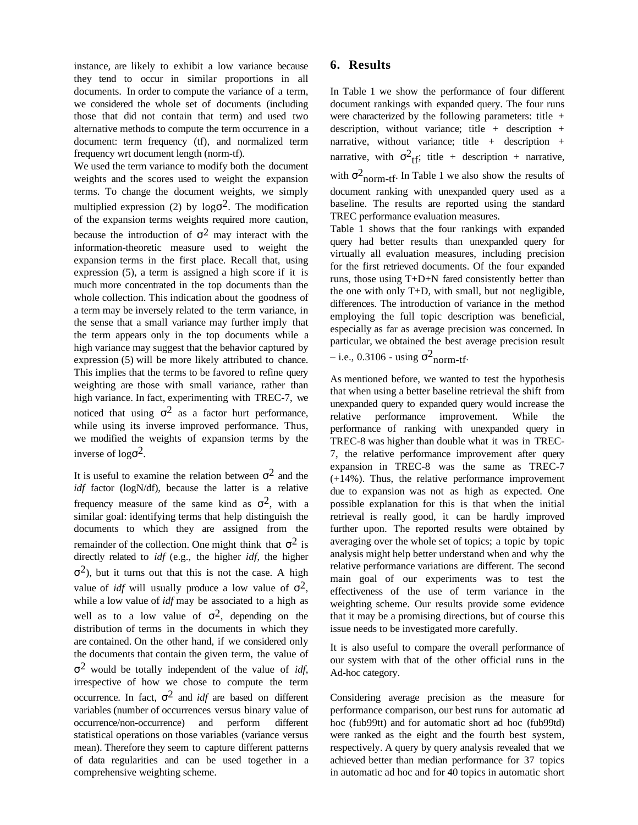instance, are likely to exhibit a low variance because they tend to occur in similar proportions in all documents. In order to compute the variance of a term, we considered the whole set of documents (including those that did not contain that term) and used two alternative methods to compute the term occurrence in a document: term frequency (tf), and normalized term frequency wrt document length (norm-tf).

We used the term variance to modify both the document weights and the scores used to weight the expansion terms. To change the document weights, we simply multiplied expression (2) by  $log \sigma^2$ . The modification of the expansion terms weights required more caution, because the introduction of  $\sigma^2$  may interact with the information-theoretic measure used to weight the expansion terms in the first place. Recall that, using expression (5), a term is assigned a high score if it is much more concentrated in the top documents than the whole collection. This indication about the goodness of a term may be inversely related to the term variance, in the sense that a small variance may further imply that the term appears only in the top documents while a high variance may suggest that the behavior captured by expression (5) will be more likely attributed to chance. This implies that the terms to be favored to refine query weighting are those with small variance, rather than high variance. In fact, experimenting with TREC-7, we noticed that using  $\sigma^2$  as a factor hurt performance, while using its inverse improved performance. Thus, we modified the weights of expansion terms by the inverse of  $log\sigma^2$ .

It is useful to examine the relation between  $\sigma^2$  and the *idf* factor (logN/df), because the latter is a relative frequency measure of the same kind as  $\sigma^2$ , with a similar goal: identifying terms that help distinguish the documents to which they are assigned from the remainder of the collection. One might think that  $\sigma^2$  is directly related to *idf* (e.g., the higher *idf*, the higher  $\sigma^2$ ), but it turns out that this is not the case. A high value of *idf* will usually produce a low value of  $\sigma^2$ , while a low value of *idf* may be associated to a high as well as to a low value of  $\sigma^2$ , depending on the distribution of terms in the documents in which they are contained. On the other hand, if we considered only the documents that contain the given term, the value of σ2 would be totally independent of the value of *idf*, irrespective of how we chose to compute the term occurrence. In fact,  $\sigma^2$  and *idf* are based on different variables (number of occurrences versus binary value of occurrence/non-occurrence) and perform different statistical operations on those variables (variance versus mean). Therefore they seem to capture different patterns of data regularities and can be used together in a comprehensive weighting scheme.

## **6. Results**

In Table 1 we show the performance of four different document rankings with expanded query. The four runs were characterized by the following parameters: title + description, without variance; title  $+$  description  $+$ narrative, without variance; title  $+$  description  $+$ narrative, with  $\sigma^2_{\text{tf}}$ ; title + description + narrative, with  $\sigma_{\text{norm-tf}}^2$ . In Table 1 we also show the results of document ranking with unexpanded query used as a baseline. The results are reported using the standard TREC performance evaluation measures.

Table 1 shows that the four rankings with expanded query had better results than unexpanded query for virtually all evaluation measures, including precision for the first retrieved documents. Of the four expanded runs, those using T+D+N fared consistently better than the one with only T+D, with small, but not negligible, differences. The introduction of variance in the method employing the full topic description was beneficial, especially as far as average precision was concerned. In particular, we obtained the best average precision result – i.e., 0.3106 - using  $\sigma_{\text{norm-tf}}^2$ .

As mentioned before, we wanted to test the hypothesis that when using a better baseline retrieval the shift from unexpanded query to expanded query would increase the relative performance improvement. While the performance of ranking with unexpanded query in TREC-8 was higher than double what it was in TREC-7, the relative performance improvement after query expansion in TREC-8 was the same as TREC-7 (+14%). Thus, the relative performance improvement due to expansion was not as high as expected. One possible explanation for this is that when the initial retrieval is really good, it can be hardly improved further upon. The reported results were obtained by averaging over the whole set of topics; a topic by topic analysis might help better understand when and why the relative performance variations are different. The second main goal of our experiments was to test the effectiveness of the use of term variance in the weighting scheme. Our results provide some evidence that it may be a promising directions, but of course this issue needs to be investigated more carefully.

It is also useful to compare the overall performance of our system with that of the other official runs in the Ad-hoc category.

Considering average precision as the measure for performance comparison, our best runs for automatic ad hoc (fub99tt) and for automatic short ad hoc (fub99td) were ranked as the eight and the fourth best system, respectively. A query by query analysis revealed that we achieved better than median performance for 37 topics in automatic ad hoc and for 40 topics in automatic short